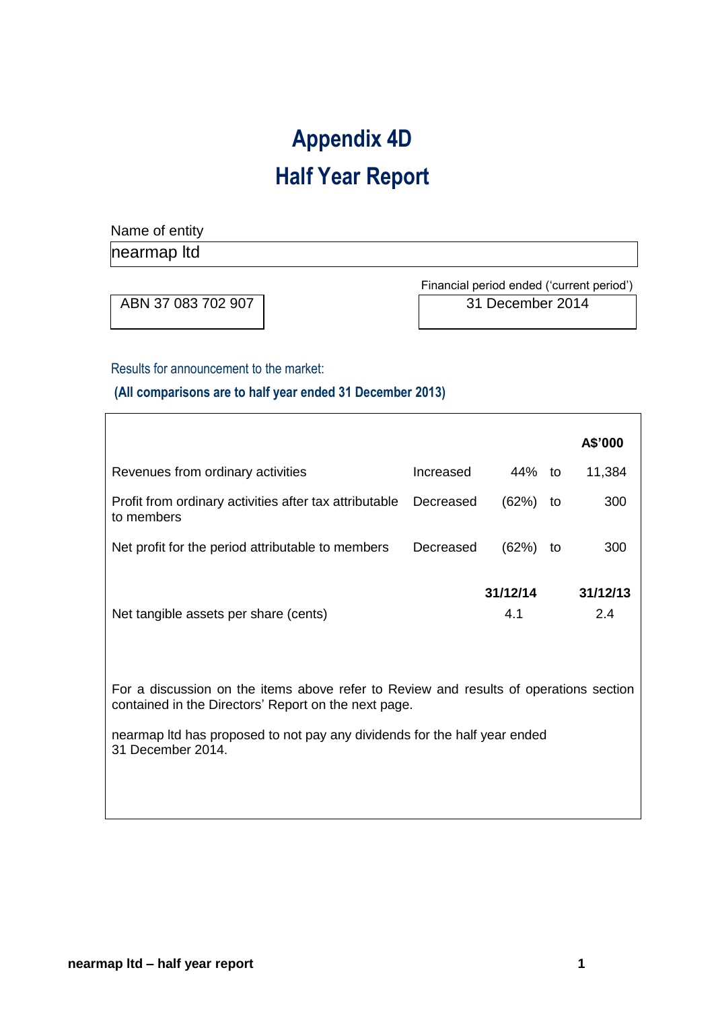# **Appendix 4D Half Year Report**

Name of entity

nearmap ltd

 $\overline{\Gamma}$ 

ABN 37 083 702 907 31 December 2014

Financial period ended ('current period')

Results for announcement to the market:

**(All comparisons are to half year ended 31 December 2013)** 

|                                                                                                                                               |           |                 |    | A\$'000         |
|-----------------------------------------------------------------------------------------------------------------------------------------------|-----------|-----------------|----|-----------------|
| Revenues from ordinary activities                                                                                                             | Increased | 44% to          |    | 11,384          |
| Profit from ordinary activities after tax attributable<br>to members                                                                          | Decreased | (62%)           | to | 300             |
| Net profit for the period attributable to members                                                                                             | Decreased | (62%)           | to | 300             |
| Net tangible assets per share (cents)                                                                                                         |           | 31/12/14<br>4.1 |    | 31/12/13<br>2.4 |
| For a discussion on the items above refer to Review and results of operations section<br>contained in the Directors' Report on the next page. |           |                 |    |                 |
| nearmap Itd has proposed to not pay any dividends for the half year ended<br>31 December 2014.                                                |           |                 |    |                 |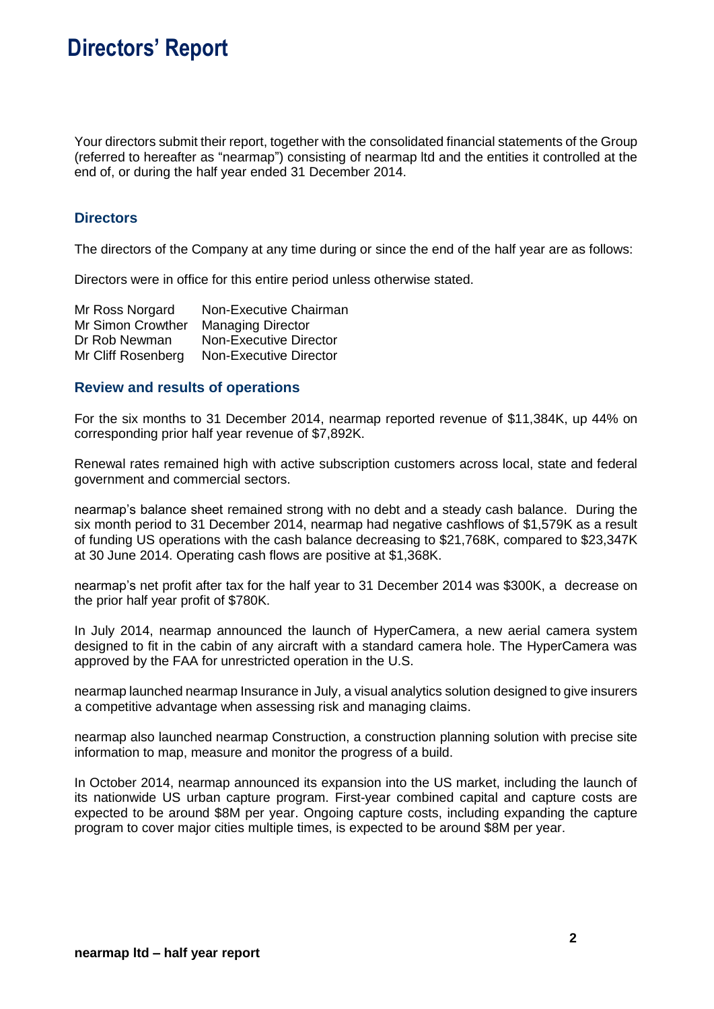## **Directors' Report**

Your directors submit their report, together with the consolidated financial statements of the Group (referred to hereafter as "nearmap") consisting of nearmap ltd and the entities it controlled at the end of, or during the half year ended 31 December 2014.

### **Directors**

The directors of the Company at any time during or since the end of the half year are as follows:

Directors were in office for this entire period unless otherwise stated.

| Non-Executive Chairman        |
|-------------------------------|
| <b>Managing Director</b>      |
| Non-Executive Director        |
| <b>Non-Executive Director</b> |
|                               |

### **Review and results of operations**

For the six months to 31 December 2014, nearmap reported revenue of \$11,384K, up 44% on corresponding prior half year revenue of \$7,892K.

Renewal rates remained high with active subscription customers across local, state and federal government and commercial sectors.

nearmap's balance sheet remained strong with no debt and a steady cash balance. During the six month period to 31 December 2014, nearmap had negative cashflows of \$1,579K as a result of funding US operations with the cash balance decreasing to \$21,768K, compared to \$23,347K at 30 June 2014. Operating cash flows are positive at \$1,368K.

nearmap's net profit after tax for the half year to 31 December 2014 was \$300K, a decrease on the prior half year profit of \$780K.

In July 2014, nearmap announced the launch of HyperCamera, a new aerial camera system designed to fit in the cabin of any aircraft with a standard camera hole. The HyperCamera was approved by the FAA for unrestricted operation in the U.S.

nearmap launched nearmap Insurance in July, a visual analytics solution designed to give insurers a competitive advantage when assessing risk and managing claims.

nearmap also launched nearmap Construction, a construction planning solution with precise site information to map, measure and monitor the progress of a build.

In October 2014, nearmap announced its expansion into the US market, including the launch of its nationwide US urban capture program. First-year combined capital and capture costs are expected to be around \$8M per year. Ongoing capture costs, including expanding the capture program to cover major cities multiple times, is expected to be around \$8M per year.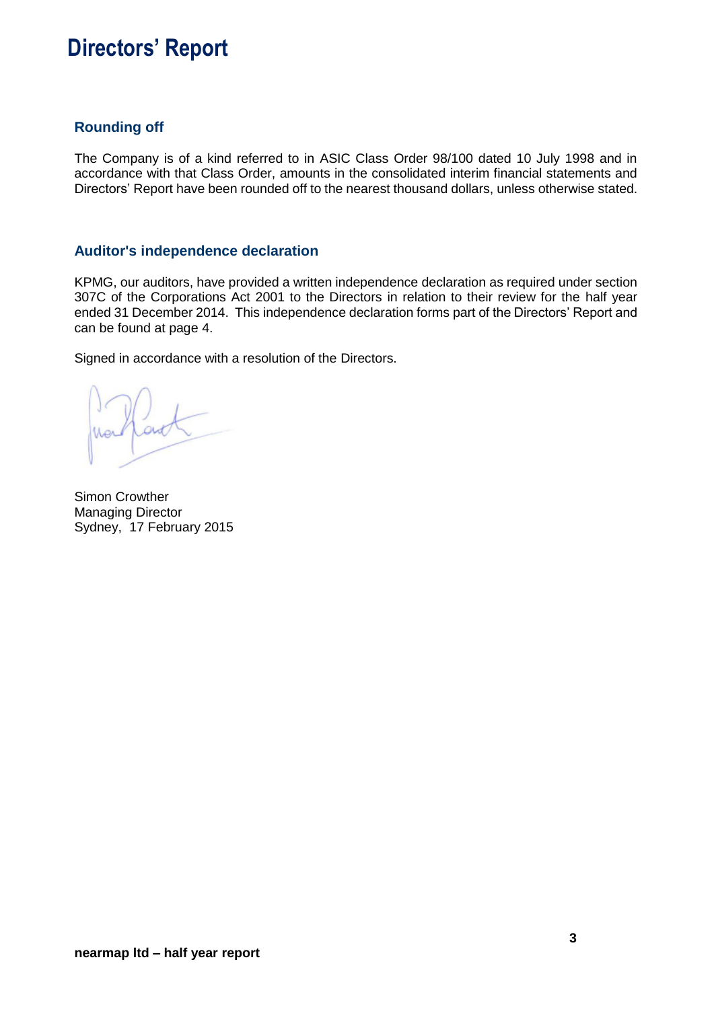## **Directors' Report**

### **Rounding off**

The Company is of a kind referred to in ASIC Class Order 98/100 dated 10 July 1998 and in accordance with that Class Order, amounts in the consolidated interim financial statements and Directors' Report have been rounded off to the nearest thousand dollars, unless otherwise stated.

### **Auditor's independence declaration**

KPMG, our auditors, have provided a written independence declaration as required under section 307C of the Corporations Act 2001 to the Directors in relation to their review for the half year ended 31 December 2014. This independence declaration forms part of the Directors' Report and can be found at page 4.

Signed in accordance with a resolution of the Directors.

Simon Crowther Managing Director Sydney, 17 February 2015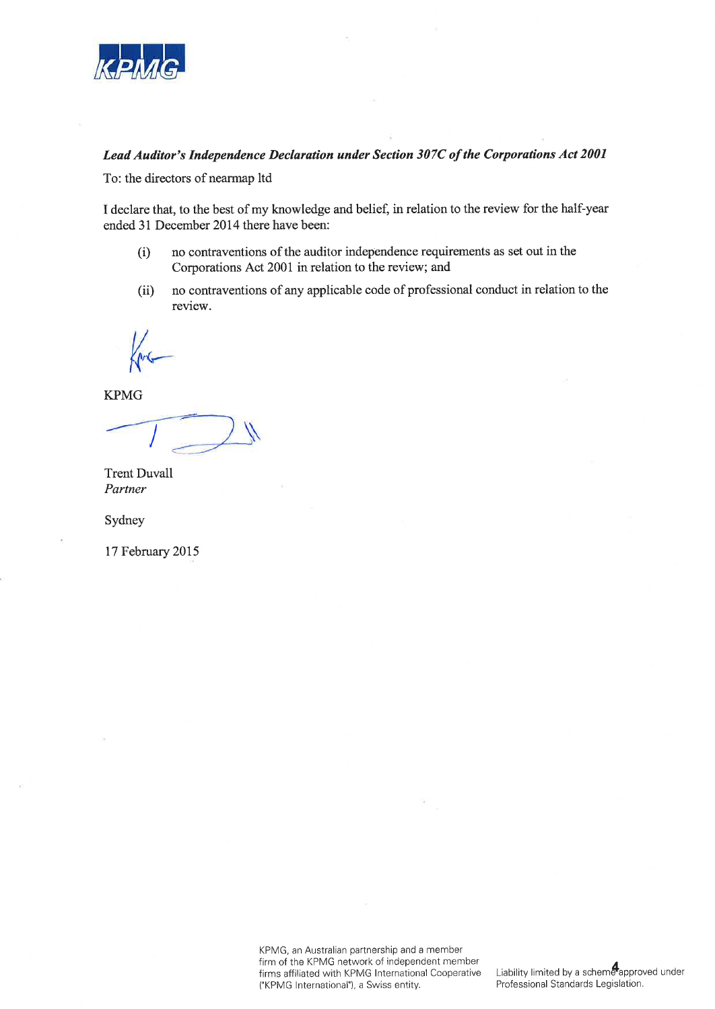

### Lead Auditor's Independence Declaration under Section 307C of the Corporations Act 2001

To: the directors of nearmap ltd

I declare that, to the best of my knowledge and belief, in relation to the review for the half-year ended 31 December 2014 there have been:

- no contraventions of the auditor independence requirements as set out in the  $(i)$ Corporations Act 2001 in relation to the review; and
- no contraventions of any applicable code of professional conduct in relation to the  $(ii)$ review.

**KPMG** 

**Trent Duvall** Partner

Sydney

17 February 2015

KPMG, an Australian partnership and a member firm of the KPMG network of independent member firms affiliated with KPMG International Cooperative ("KPMG International"), a Swiss entity.

Liability limited by a scheme approved under Professional Standards Legislation.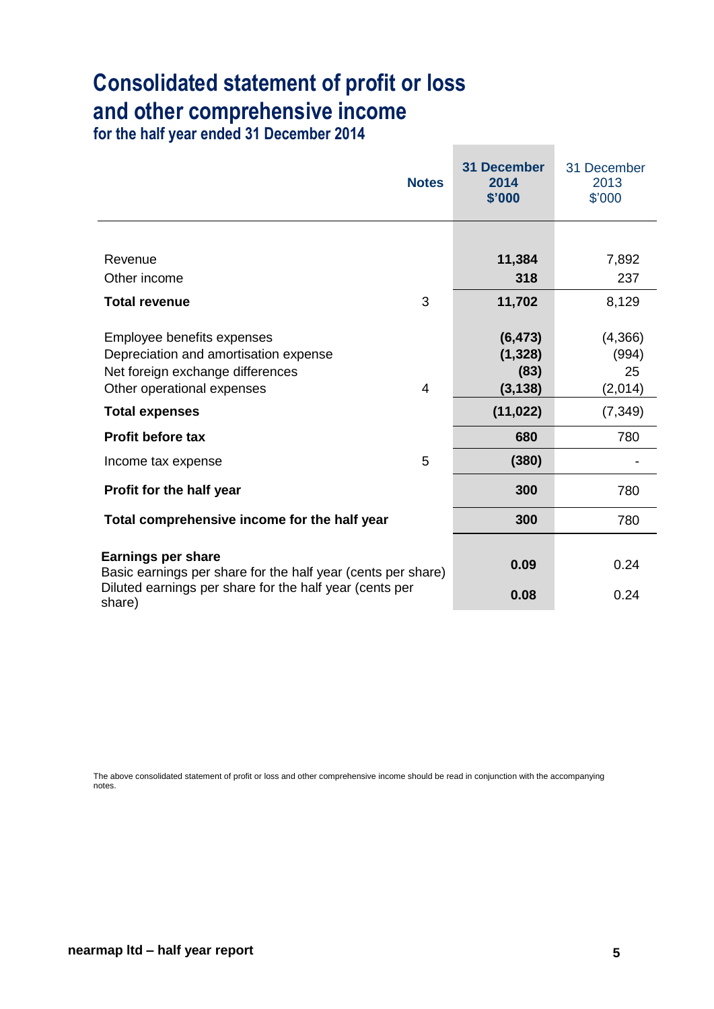# **Consolidated statement of profit or loss and other comprehensive income**

**for the half year ended 31 December 2014**

|                                                                                                                                                                                                                  | <b>Notes</b> | <b>31 December</b><br>2014<br>\$'000                                  | 31 December<br>2013<br>\$'000                        |
|------------------------------------------------------------------------------------------------------------------------------------------------------------------------------------------------------------------|--------------|-----------------------------------------------------------------------|------------------------------------------------------|
|                                                                                                                                                                                                                  |              |                                                                       |                                                      |
| Revenue                                                                                                                                                                                                          |              | 11,384                                                                | 7,892                                                |
| Other income                                                                                                                                                                                                     |              | 318                                                                   | 237                                                  |
| <b>Total revenue</b>                                                                                                                                                                                             | 3            | 11,702                                                                | 8,129                                                |
| Employee benefits expenses<br>Depreciation and amortisation expense<br>Net foreign exchange differences<br>Other operational expenses<br><b>Total expenses</b><br><b>Profit before tax</b><br>Income tax expense | 4<br>5       | (6, 473)<br>(1, 328)<br>(83)<br>(3, 138)<br>(11, 022)<br>680<br>(380) | (4,366)<br>(994)<br>25<br>(2,014)<br>(7, 349)<br>780 |
| Profit for the half year                                                                                                                                                                                         |              | 300                                                                   | 780                                                  |
| Total comprehensive income for the half year                                                                                                                                                                     |              | 300                                                                   | 780                                                  |
| <b>Earnings per share</b><br>Basic earnings per share for the half year (cents per share)<br>Diluted earnings per share for the half year (cents per<br>share)                                                   |              | 0.09<br>0.08                                                          | 0.24<br>0.24                                         |

**Contract Contract Contract** 

The above consolidated statement of profit or loss and other comprehensive income should be read in conjunction with the accompanying notes.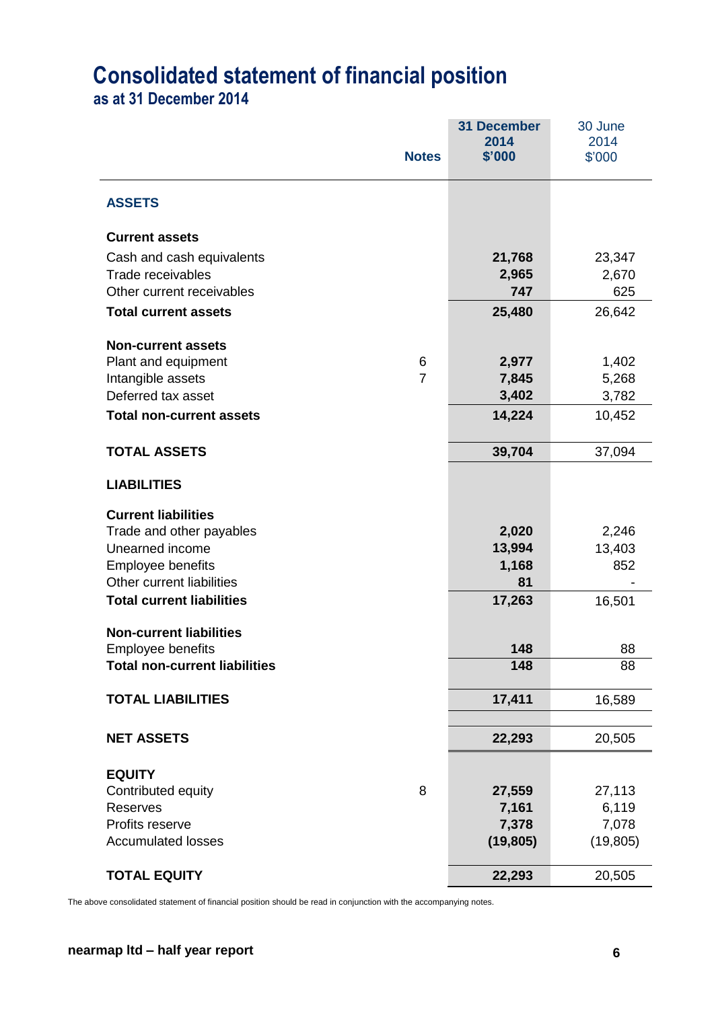# **Consolidated statement of financial position**

**as at 31 December 2014**

|                                                                  | <b>Notes</b>   | <b>31 December</b><br>2014<br>\$'000 | 30 June<br>2014<br>\$'000 |
|------------------------------------------------------------------|----------------|--------------------------------------|---------------------------|
| <b>ASSETS</b>                                                    |                |                                      |                           |
| <b>Current assets</b>                                            |                |                                      |                           |
| Cash and cash equivalents                                        |                | 21,768                               | 23,347                    |
| Trade receivables                                                |                | 2,965                                | 2,670                     |
| Other current receivables                                        |                | 747                                  | 625                       |
| <b>Total current assets</b>                                      |                | 25,480                               | 26,642                    |
| <b>Non-current assets</b>                                        |                |                                      |                           |
| Plant and equipment                                              | 6              | 2,977                                | 1,402                     |
| Intangible assets                                                | $\overline{7}$ | 7,845                                | 5,268                     |
| Deferred tax asset                                               |                | 3,402                                | 3,782                     |
| <b>Total non-current assets</b>                                  |                | 14,224                               | 10,452                    |
| <b>TOTAL ASSETS</b>                                              |                | 39,704                               | 37,094                    |
| <b>LIABILITIES</b>                                               |                |                                      |                           |
| <b>Current liabilities</b>                                       |                |                                      |                           |
| Trade and other payables                                         |                | 2,020                                | 2,246                     |
| Unearned income                                                  |                | 13,994                               | 13,403                    |
| <b>Employee benefits</b>                                         |                | 1,168                                | 852                       |
| Other current liabilities                                        |                | 81                                   |                           |
| <b>Total current liabilities</b>                                 |                | 17,263                               | 16,501                    |
| <b>Non-current liabilities</b>                                   |                |                                      |                           |
| <b>Employee benefits</b><br><b>Total non-current liabilities</b> |                | 148<br>148                           | 88<br>88                  |
|                                                                  |                |                                      |                           |
| <b>TOTAL LIABILITIES</b>                                         |                | 17,411                               | 16,589                    |
| <b>NET ASSETS</b>                                                |                | 22,293                               | 20,505                    |
| <b>EQUITY</b>                                                    |                |                                      |                           |
| Contributed equity                                               | 8              | 27,559                               | 27,113                    |
| <b>Reserves</b>                                                  |                | 7,161                                | 6,119                     |
| Profits reserve                                                  |                | 7,378                                | 7,078                     |
| <b>Accumulated losses</b>                                        |                | (19, 805)                            | (19, 805)                 |
| <b>TOTAL EQUITY</b>                                              |                | 22,293                               | 20,505                    |

The above consolidated statement of financial position should be read in conjunction with the accompanying notes.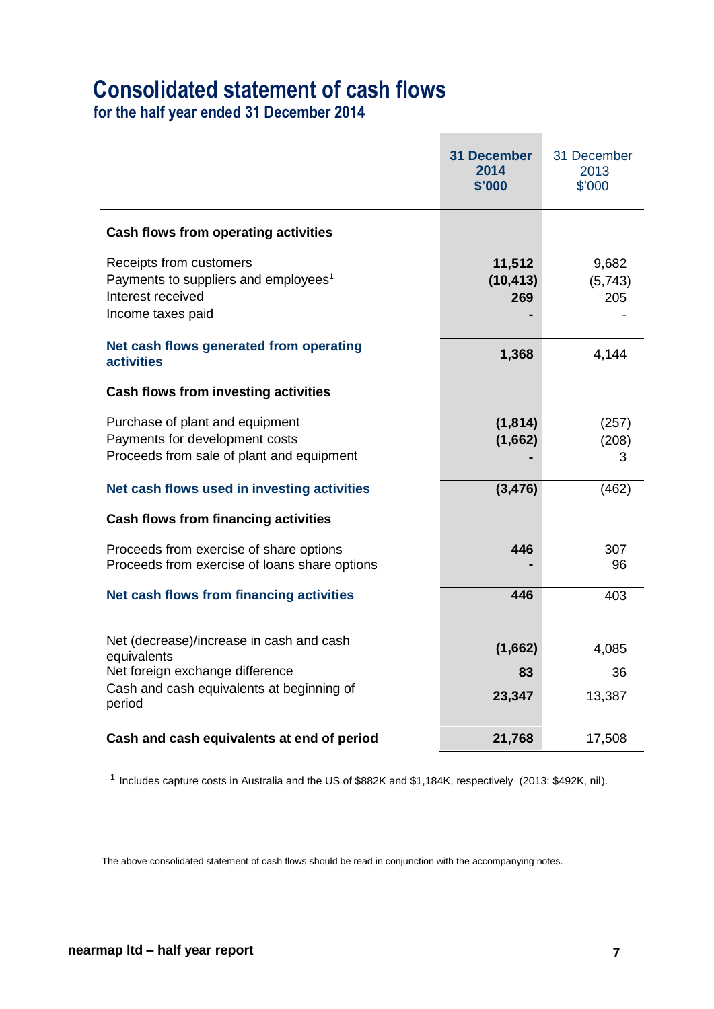## **Consolidated statement of cash flows**

**for the half year ended 31 December 2014**

|                                                                                                                       | <b>31 December</b><br>2014<br>\$'000 | 31 December<br>2013<br>\$'000 |
|-----------------------------------------------------------------------------------------------------------------------|--------------------------------------|-------------------------------|
| Cash flows from operating activities                                                                                  |                                      |                               |
| Receipts from customers<br>Payments to suppliers and employees <sup>1</sup><br>Interest received<br>Income taxes paid | 11,512<br>(10, 413)<br>269           | 9,682<br>(5,743)<br>205       |
| Net cash flows generated from operating<br><b>activities</b>                                                          | 1,368                                | 4,144                         |
| <b>Cash flows from investing activities</b>                                                                           |                                      |                               |
| Purchase of plant and equipment<br>Payments for development costs<br>Proceeds from sale of plant and equipment        | (1, 814)<br>(1,662)                  | (257)<br>(208)<br>3           |
| Net cash flows used in investing activities                                                                           | (3, 476)                             | (462)                         |
| <b>Cash flows from financing activities</b>                                                                           |                                      |                               |
| Proceeds from exercise of share options<br>Proceeds from exercise of loans share options                              | 446                                  | 307<br>96                     |
| Net cash flows from financing activities                                                                              | 446                                  | 403                           |
| Net (decrease)/increase in cash and cash<br>equivalents                                                               | (1,662)                              | 4,085                         |
| Net foreign exchange difference<br>Cash and cash equivalents at beginning of<br>period                                | 83<br>23,347                         | 36<br>13,387                  |
| Cash and cash equivalents at end of period                                                                            | 21,768                               | 17,508                        |

<sup>1</sup> Includes capture costs in Australia and the US of \$882K and \$1,184K, respectively (2013: \$492K, nil).

The above consolidated statement of cash flows should be read in conjunction with the accompanying notes.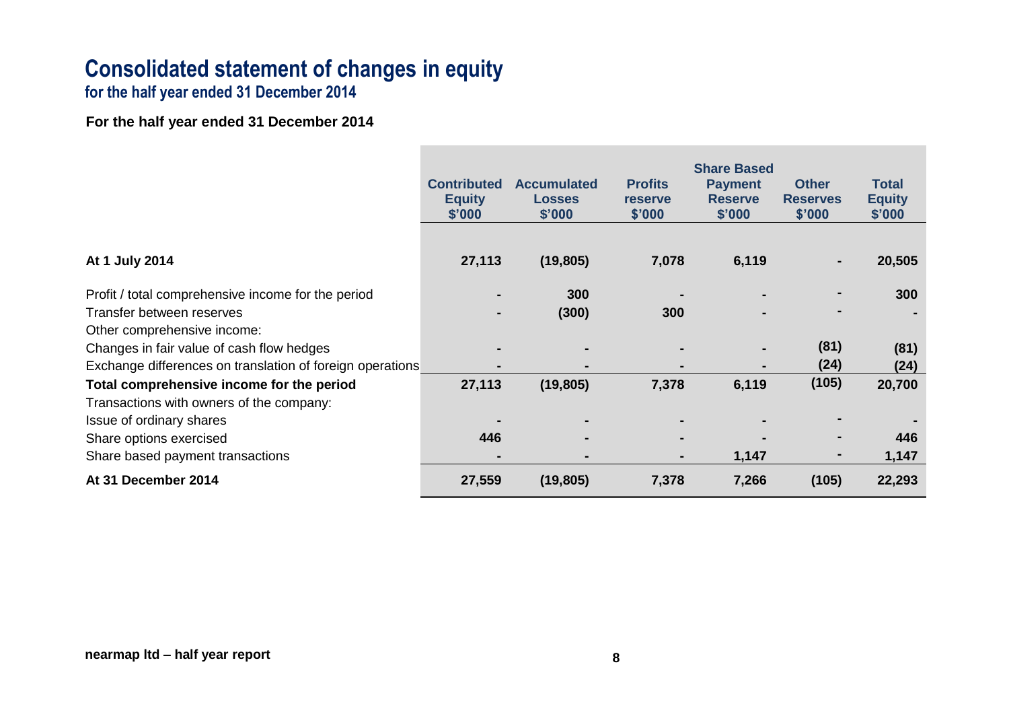# **Consolidated statement of changes in equity**

**for the half year ended 31 December 2014**

**For the half year ended 31 December 2014**

|                                                           | <b>Contributed</b><br><b>Equity</b><br>\$'000 | <b>Accumulated</b><br><b>Losses</b><br>\$'000 | <b>Profits</b><br><b>reserve</b><br>\$'000 | <b>Share Based</b><br><b>Payment</b><br><b>Reserve</b><br>\$'000 | <b>Other</b><br><b>Reserves</b><br>\$'000 | Total<br><b>Equity</b><br>\$'000 |
|-----------------------------------------------------------|-----------------------------------------------|-----------------------------------------------|--------------------------------------------|------------------------------------------------------------------|-------------------------------------------|----------------------------------|
|                                                           |                                               |                                               |                                            |                                                                  |                                           |                                  |
| At 1 July 2014                                            | 27,113                                        | (19, 805)                                     | 7,078                                      | 6,119                                                            |                                           | 20,505                           |
| Profit / total comprehensive income for the period        |                                               | 300                                           |                                            |                                                                  |                                           | 300                              |
| Transfer between reserves                                 |                                               | (300)                                         | 300                                        |                                                                  |                                           |                                  |
| Other comprehensive income:                               |                                               |                                               |                                            |                                                                  |                                           |                                  |
| Changes in fair value of cash flow hedges                 |                                               |                                               |                                            | $\blacksquare$                                                   | (81)                                      | (81)                             |
| Exchange differences on translation of foreign operations | $\blacksquare$                                |                                               | $\blacksquare$                             | $\blacksquare$                                                   | (24)                                      | (24)                             |
| Total comprehensive income for the period                 | 27,113                                        | (19, 805)                                     | 7,378                                      | 6,119                                                            | (105)                                     | 20,700                           |
| Transactions with owners of the company:                  |                                               |                                               |                                            |                                                                  |                                           |                                  |
| Issue of ordinary shares                                  |                                               |                                               |                                            |                                                                  |                                           |                                  |
| Share options exercised                                   | 446                                           |                                               |                                            |                                                                  |                                           | 446                              |
| Share based payment transactions                          |                                               | $\blacksquare$                                | ٠                                          | 1,147                                                            |                                           | 1,147                            |
| At 31 December 2014                                       | 27,559                                        | (19, 805)                                     | 7,378                                      | 7,266                                                            | (105)                                     | 22,293                           |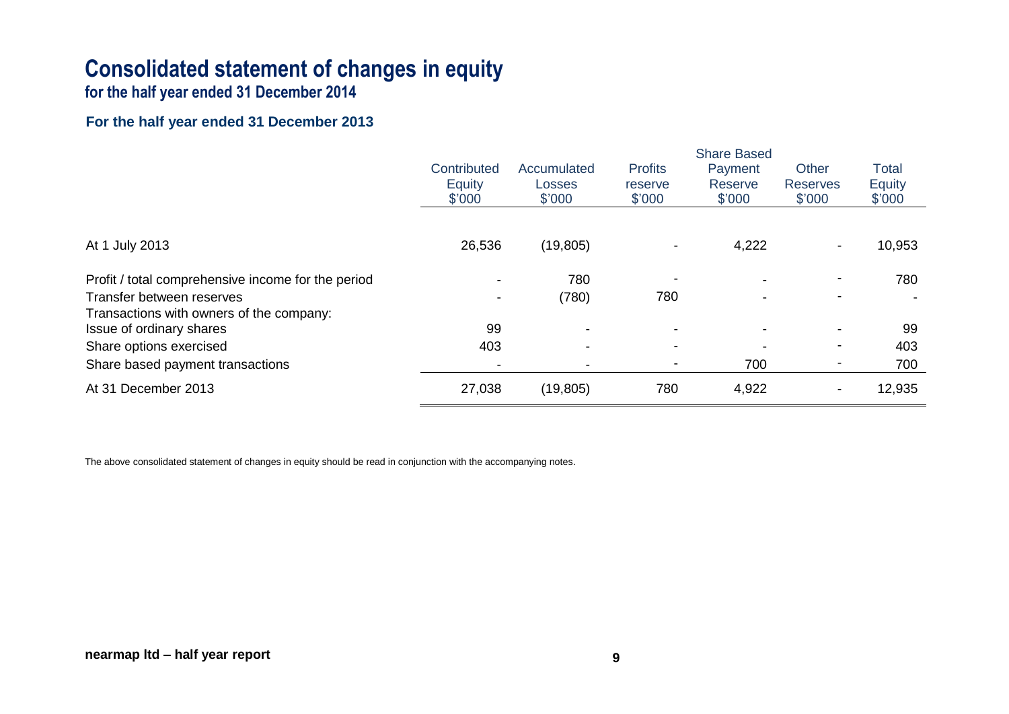# **Consolidated statement of changes in equity**

**for the half year ended 31 December 2014**

### **For the half year ended 31 December 2013**

|                                                                      | <b>Share Based</b>              |                                 |                                     |                              |                                    |                                         |
|----------------------------------------------------------------------|---------------------------------|---------------------------------|-------------------------------------|------------------------------|------------------------------------|-----------------------------------------|
|                                                                      | Contributed<br>Equity<br>\$'000 | Accumulated<br>Losses<br>\$'000 | <b>Profits</b><br>reserve<br>\$'000 | Payment<br>Reserve<br>\$'000 | Other<br><b>Reserves</b><br>\$'000 | <b>Total</b><br><b>Equity</b><br>\$'000 |
| At 1 July 2013                                                       | 26,536                          | (19, 805)                       | $\overline{\phantom{a}}$            | 4,222                        |                                    | 10,953                                  |
| Profit / total comprehensive income for the period                   |                                 | 780                             |                                     | $\overline{\phantom{a}}$     |                                    | 780                                     |
| Transfer between reserves                                            |                                 | (780)                           | 780                                 | $\blacksquare$               |                                    |                                         |
| Transactions with owners of the company:<br>Issue of ordinary shares | 99                              |                                 |                                     | $\blacksquare$               |                                    | 99                                      |
| Share options exercised                                              | 403                             |                                 |                                     |                              |                                    | 403                                     |
| Share based payment transactions                                     |                                 |                                 | $\overline{\phantom{a}}$            | 700                          |                                    | 700                                     |
| At 31 December 2013                                                  | 27,038                          | (19, 805)                       | 780                                 | 4,922                        |                                    | 12,935                                  |

The above consolidated statement of changes in equity should be read in conjunction with the accompanying notes.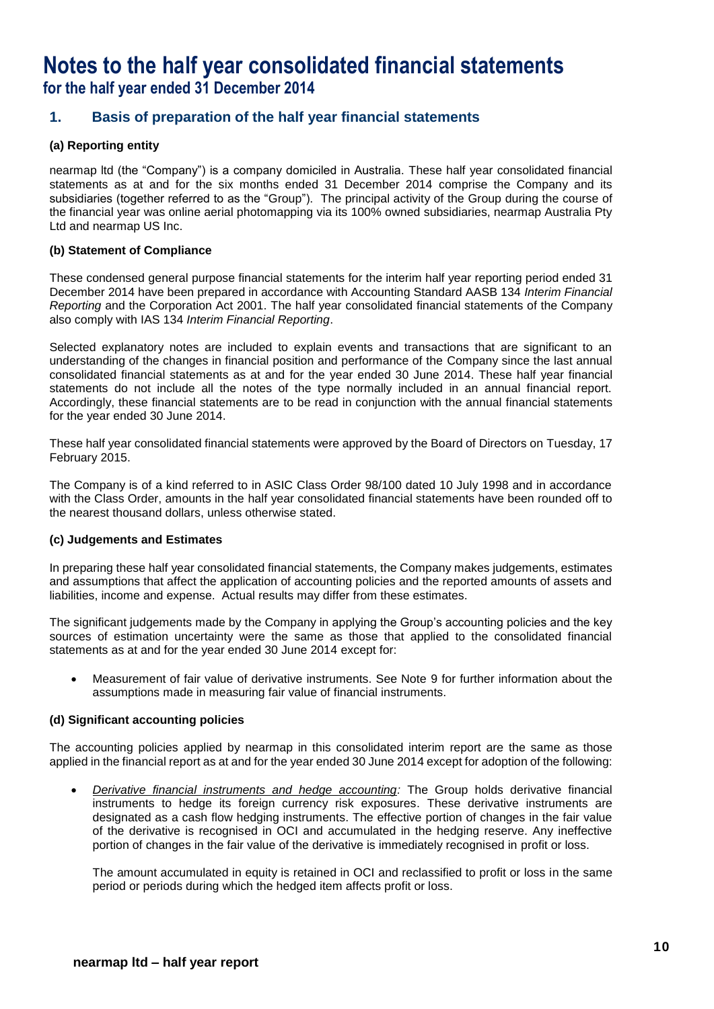### **Notes to the half year consolidated financial statements for the half year ended 31 December 2014**

### **1. Basis of preparation of the half year financial statements**

### **(a) Reporting entity**

nearmap ltd (the "Company") is a company domiciled in Australia. These half year consolidated financial statements as at and for the six months ended 31 December 2014 comprise the Company and its subsidiaries (together referred to as the "Group"). The principal activity of the Group during the course of the financial year was online aerial photomapping via its 100% owned subsidiaries, nearmap Australia Pty Ltd and nearmap US Inc.

### **(b) Statement of Compliance**

These condensed general purpose financial statements for the interim half year reporting period ended 31 December 2014 have been prepared in accordance with Accounting Standard AASB 134 *Interim Financial Reporting* and the Corporation Act 2001. The half year consolidated financial statements of the Company also comply with IAS 134 *Interim Financial Reporting*.

Selected explanatory notes are included to explain events and transactions that are significant to an understanding of the changes in financial position and performance of the Company since the last annual consolidated financial statements as at and for the year ended 30 June 2014. These half year financial statements do not include all the notes of the type normally included in an annual financial report. Accordingly, these financial statements are to be read in conjunction with the annual financial statements for the year ended 30 June 2014.

These half year consolidated financial statements were approved by the Board of Directors on Tuesday, 17 February 2015.

The Company is of a kind referred to in ASIC Class Order 98/100 dated 10 July 1998 and in accordance with the Class Order, amounts in the half year consolidated financial statements have been rounded off to the nearest thousand dollars, unless otherwise stated.

### **(c) Judgements and Estimates**

In preparing these half year consolidated financial statements, the Company makes judgements, estimates and assumptions that affect the application of accounting policies and the reported amounts of assets and liabilities, income and expense. Actual results may differ from these estimates.

The significant judgements made by the Company in applying the Group's accounting policies and the key sources of estimation uncertainty were the same as those that applied to the consolidated financial statements as at and for the year ended 30 June 2014 except for:

 Measurement of fair value of derivative instruments. See Note 9 for further information about the assumptions made in measuring fair value of financial instruments.

### **(d) Significant accounting policies**

The accounting policies applied by nearmap in this consolidated interim report are the same as those applied in the financial report as at and for the year ended 30 June 2014 except for adoption of the following:

 *Derivative financial instruments and hedge accounting:* The Group holds derivative financial instruments to hedge its foreign currency risk exposures. These derivative instruments are designated as a cash flow hedging instruments. The effective portion of changes in the fair value of the derivative is recognised in OCI and accumulated in the hedging reserve. Any ineffective portion of changes in the fair value of the derivative is immediately recognised in profit or loss.

The amount accumulated in equity is retained in OCI and reclassified to profit or loss in the same period or periods during which the hedged item affects profit or loss.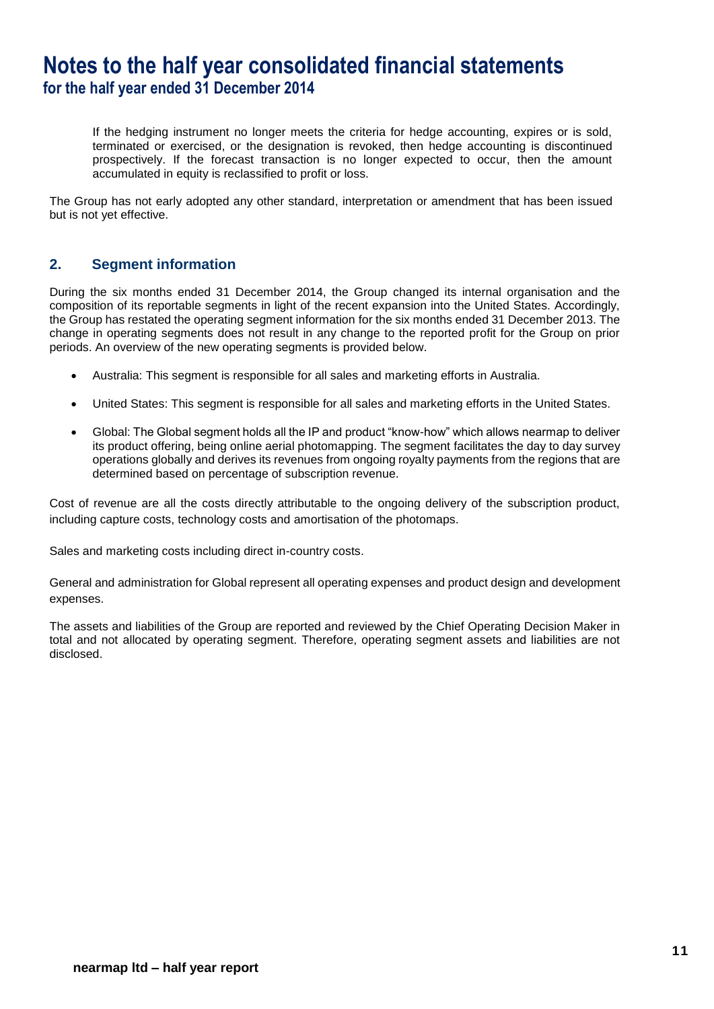### **Notes to the half year consolidated financial statements for the half year ended 31 December 2014**

If the hedging instrument no longer meets the criteria for hedge accounting, expires or is sold, terminated or exercised, or the designation is revoked, then hedge accounting is discontinued prospectively. If the forecast transaction is no longer expected to occur, then the amount accumulated in equity is reclassified to profit or loss.

The Group has not early adopted any other standard, interpretation or amendment that has been issued but is not yet effective.

### **2. Segment information**

During the six months ended 31 December 2014, the Group changed its internal organisation and the composition of its reportable segments in light of the recent expansion into the United States. Accordingly, the Group has restated the operating segment information for the six months ended 31 December 2013. The change in operating segments does not result in any change to the reported profit for the Group on prior periods. An overview of the new operating segments is provided below.

- Australia: This segment is responsible for all sales and marketing efforts in Australia.
- United States: This segment is responsible for all sales and marketing efforts in the United States.
- Global: The Global segment holds all the IP and product "know-how" which allows nearmap to deliver its product offering, being online aerial photomapping. The segment facilitates the day to day survey operations globally and derives its revenues from ongoing royalty payments from the regions that are determined based on percentage of subscription revenue.

Cost of revenue are all the costs directly attributable to the ongoing delivery of the subscription product, including capture costs, technology costs and amortisation of the photomaps.

Sales and marketing costs including direct in-country costs.

General and administration for Global represent all operating expenses and product design and development expenses.

The assets and liabilities of the Group are reported and reviewed by the Chief Operating Decision Maker in total and not allocated by operating segment. Therefore, operating segment assets and liabilities are not disclosed.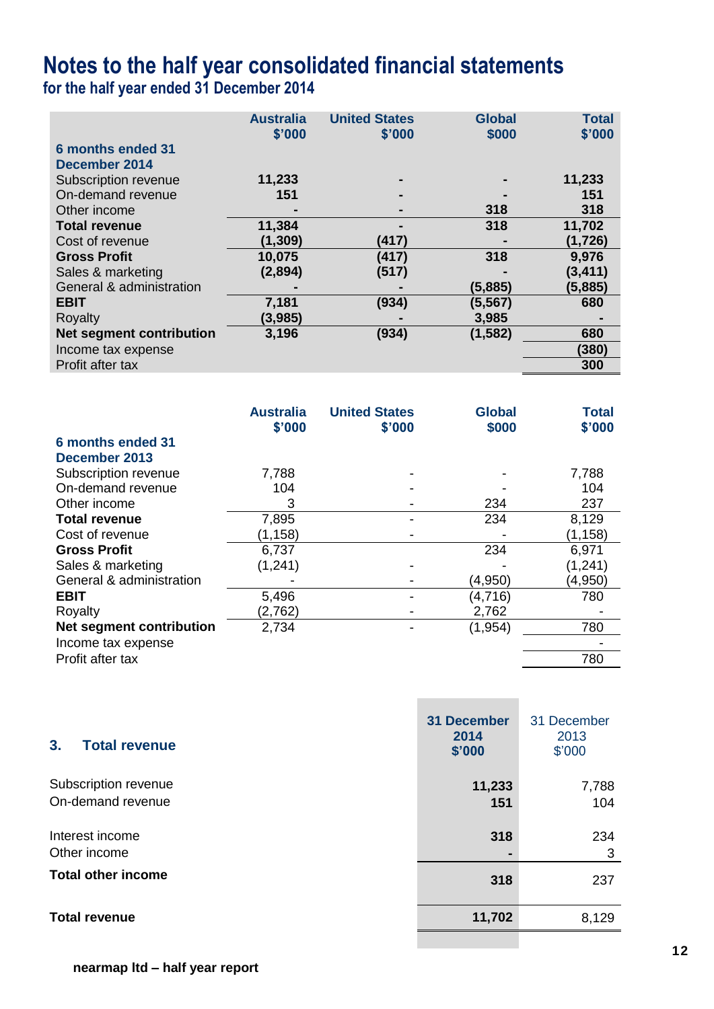**for the half year ended 31 December 2014**

| <b>Australia</b><br>\$'000 | <b>United States</b><br>\$'000 | <b>Global</b><br>\$000 | <b>Total</b><br>\$'000 |
|----------------------------|--------------------------------|------------------------|------------------------|
|                            |                                |                        |                        |
| 11,233                     |                                |                        | 11,233                 |
| 151                        |                                |                        | 151                    |
|                            |                                | 318                    | 318                    |
| 11,384                     |                                | 318                    | 11,702                 |
| (1, 309)                   | (417)                          |                        | (1,726)                |
| 10,075                     | (417)                          | 318                    | 9,976                  |
| (2,894)                    | (517)                          |                        | (3, 411)               |
|                            |                                | (5,885)                | (5,885)                |
| 7,181                      | (934)                          | (5, 567)               | 680                    |
| (3,985)                    |                                | 3,985                  |                        |
| 3,196                      | (934)                          | (1, 582)               | 680                    |
|                            |                                |                        | (380)                  |
|                            |                                |                        | 300                    |
|                            |                                |                        |                        |

|                                 | <b>Australia</b><br>\$'000 | <b>United States</b><br>\$'000 | <b>Global</b><br>\$000 | <b>Total</b><br>\$'000 |
|---------------------------------|----------------------------|--------------------------------|------------------------|------------------------|
| 6 months ended 31               |                            |                                |                        |                        |
| December 2013                   |                            |                                |                        |                        |
| Subscription revenue            | 7,788                      |                                |                        | 7,788                  |
| On-demand revenue               | 104                        |                                |                        | 104                    |
| Other income                    | 3                          |                                | 234                    | 237                    |
| <b>Total revenue</b>            | 7,895                      |                                | 234                    | 8,129                  |
| Cost of revenue                 | (1, 158)                   |                                |                        | (1, 158)               |
| <b>Gross Profit</b>             | 6,737                      |                                | 234                    | 6,971                  |
| Sales & marketing               | (1,241)                    |                                |                        | (1, 241)               |
| General & administration        |                            |                                | (4,950)                | (4,950)                |
| <b>EBIT</b>                     | 5,496                      |                                | (4, 716)               | 780                    |
| Royalty                         | (2,762)                    |                                | 2,762                  |                        |
| <b>Net segment contribution</b> | 2,734                      |                                | (1, 954)               | 780                    |
| Income tax expense              |                            |                                |                        |                        |
| Profit after tax                |                            |                                |                        | 780                    |
|                                 |                            |                                |                        |                        |

| 3.<br><b>Total revenue</b>                | 31 December<br>2014<br>\$'000 | 31 December<br>2013<br>\$'000 |
|-------------------------------------------|-------------------------------|-------------------------------|
| Subscription revenue<br>On-demand revenue | 11,233<br>151                 | 7,788<br>104                  |
| Interest income<br>Other income           | 318                           | 234<br>3                      |
| <b>Total other income</b>                 | 318                           | 237                           |
| <b>Total revenue</b>                      | 11,702                        | 8,129                         |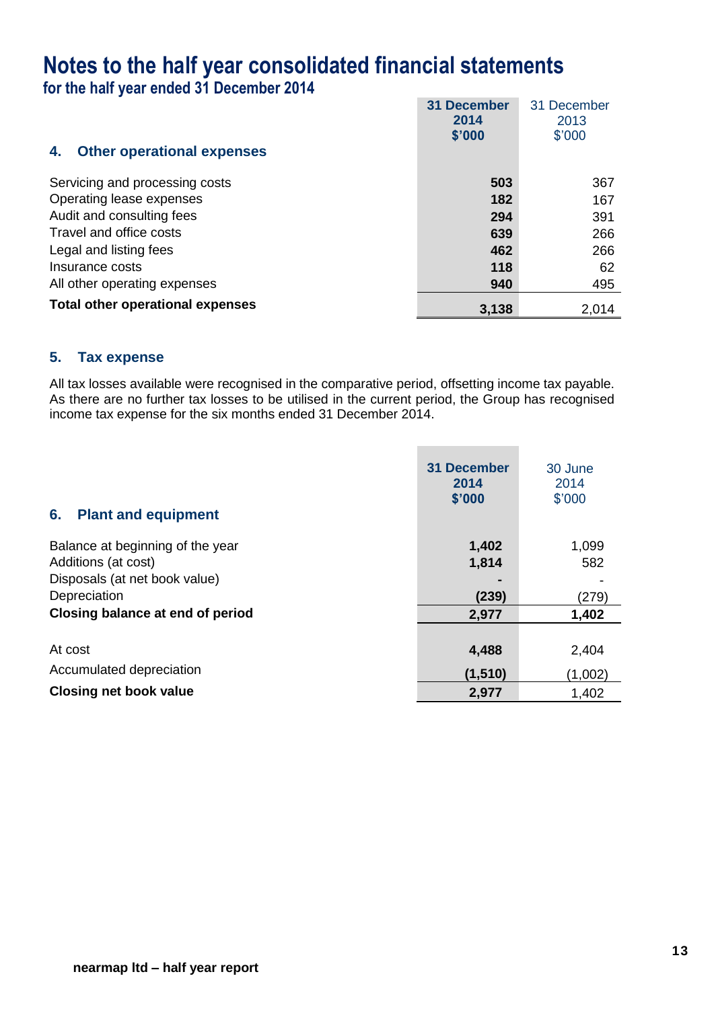**for the half year ended 31 December 2014**

|                                         | 31 December<br>2014 | 31 December<br>2013 |
|-----------------------------------------|---------------------|---------------------|
|                                         | \$'000              | \$'000              |
| <b>Other operational expenses</b><br>4. |                     |                     |
| Servicing and processing costs          | 503                 | 367                 |
| Operating lease expenses                | 182                 | 167                 |
| Audit and consulting fees               | 294                 | 391                 |
| Travel and office costs                 | 639                 | 266                 |
| Legal and listing fees                  | 462                 | 266                 |
| Insurance costs                         | 118                 | 62                  |
| All other operating expenses            | 940                 | 495                 |
| <b>Total other operational expenses</b> | 3,138               | 2,014               |

### **5. Tax expense**

All tax losses available were recognised in the comparative period, offsetting income tax payable. As there are no further tax losses to be utilised in the current period, the Group has recognised income tax expense for the six months ended 31 December 2014.

| 6.<br><b>Plant and equipment</b> | 31 December<br>2014<br>\$'000 | 30 June<br>2014<br>\$'000 |
|----------------------------------|-------------------------------|---------------------------|
| Balance at beginning of the year | 1,402                         | 1,099                     |
| Additions (at cost)              | 1,814                         | 582                       |
| Disposals (at net book value)    |                               |                           |
| Depreciation                     | (239)                         | (279)                     |
| Closing balance at end of period | 2,977                         | 1,402                     |
|                                  |                               |                           |
| At cost                          | 4,488                         | 2,404                     |
| Accumulated depreciation         | (1,510)                       | (1,002)                   |
| <b>Closing net book value</b>    | 2,977                         | 1,402                     |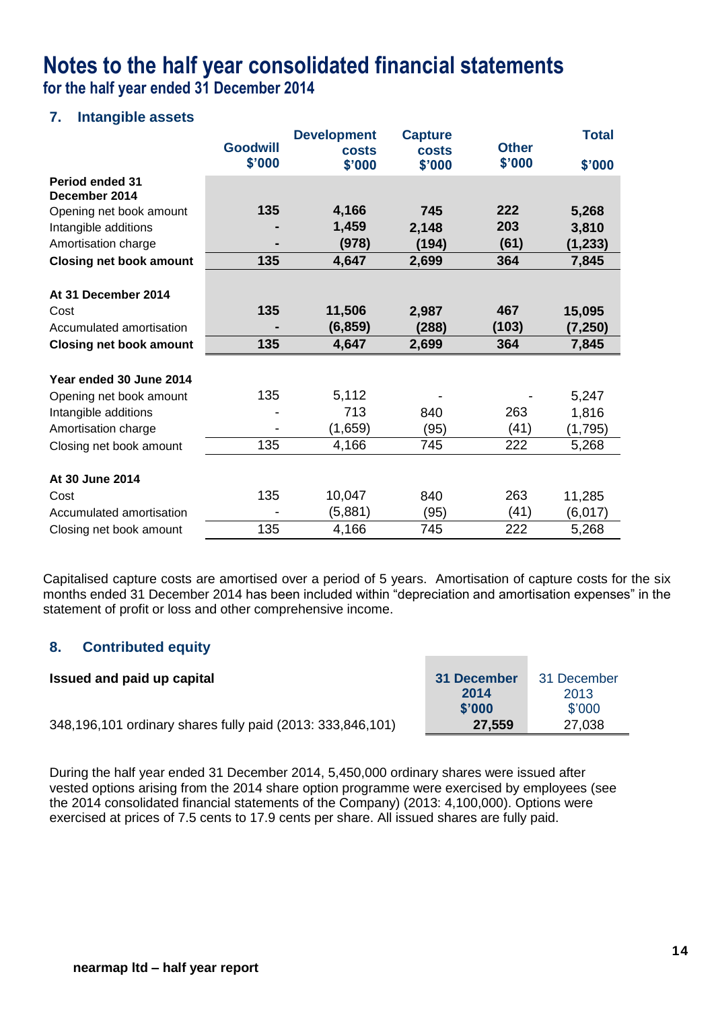**for the half year ended 31 December 2014**

### **7. Intangible assets**

|                                |                           | <b>Development</b>     | <b>Capture</b>         |                        | <b>Total</b> |
|--------------------------------|---------------------------|------------------------|------------------------|------------------------|--------------|
|                                | <b>Goodwill</b><br>\$'000 | <b>costs</b><br>\$'000 | <b>costs</b><br>\$'000 | <b>Other</b><br>\$'000 | \$'000       |
| <b>Period ended 31</b>         |                           |                        |                        |                        |              |
| December 2014                  |                           |                        |                        |                        |              |
| Opening net book amount        | 135                       | 4,166                  | 745                    | 222                    | 5,268        |
| Intangible additions           |                           | 1,459                  | 2,148                  | 203                    | 3,810        |
| Amortisation charge            |                           | (978)                  | (194)                  | (61)                   | (1, 233)     |
| <b>Closing net book amount</b> | 135                       | 4,647                  | 2,699                  | 364                    | 7,845        |
|                                |                           |                        |                        |                        |              |
| At 31 December 2014            |                           |                        |                        |                        |              |
| Cost                           | 135                       | 11,506                 | 2,987                  | 467                    | 15,095       |
| Accumulated amortisation       |                           | (6, 859)               | (288)                  | (103)                  | (7,250)      |
| <b>Closing net book amount</b> | 135                       | 4,647                  | 2,699                  | 364                    | 7,845        |
|                                |                           |                        |                        |                        |              |
| Year ended 30 June 2014        |                           |                        |                        |                        |              |
| Opening net book amount        | 135                       | 5,112                  |                        |                        | 5,247        |
| Intangible additions           |                           | 713                    | 840                    | 263                    | 1,816        |
| Amortisation charge            |                           | (1,659)                | (95)                   | (41)                   | (1,795)      |
| Closing net book amount        | 135                       | 4,166                  | 745                    | 222                    | 5,268        |
|                                |                           |                        |                        |                        |              |
| At 30 June 2014                |                           |                        |                        |                        |              |
| Cost                           | 135                       | 10,047                 | 840                    | 263                    | 11,285       |
| Accumulated amortisation       |                           | (5,881)                | (95)                   | (41)                   | (6,017)      |
| Closing net book amount        | 135                       | 4,166                  | 745                    | 222                    | 5,268        |

Capitalised capture costs are amortised over a period of 5 years. Amortisation of capture costs for the six months ended 31 December 2014 has been included within "depreciation and amortisation expenses" in the statement of profit or loss and other comprehensive income.

### **8. Contributed equity**

| Issued and paid up capital                                 | 31 December | 31 December |
|------------------------------------------------------------|-------------|-------------|
|                                                            | 2014        | 2013        |
|                                                            | \$'000      | \$'000      |
| 348,196,101 ordinary shares fully paid (2013: 333,846,101) | 27,559      | 27,038      |

During the half year ended 31 December 2014, 5,450,000 ordinary shares were issued after vested options arising from the 2014 share option programme were exercised by employees (see the 2014 consolidated financial statements of the Company) (2013: 4,100,000). Options were exercised at prices of 7.5 cents to 17.9 cents per share. All issued shares are fully paid.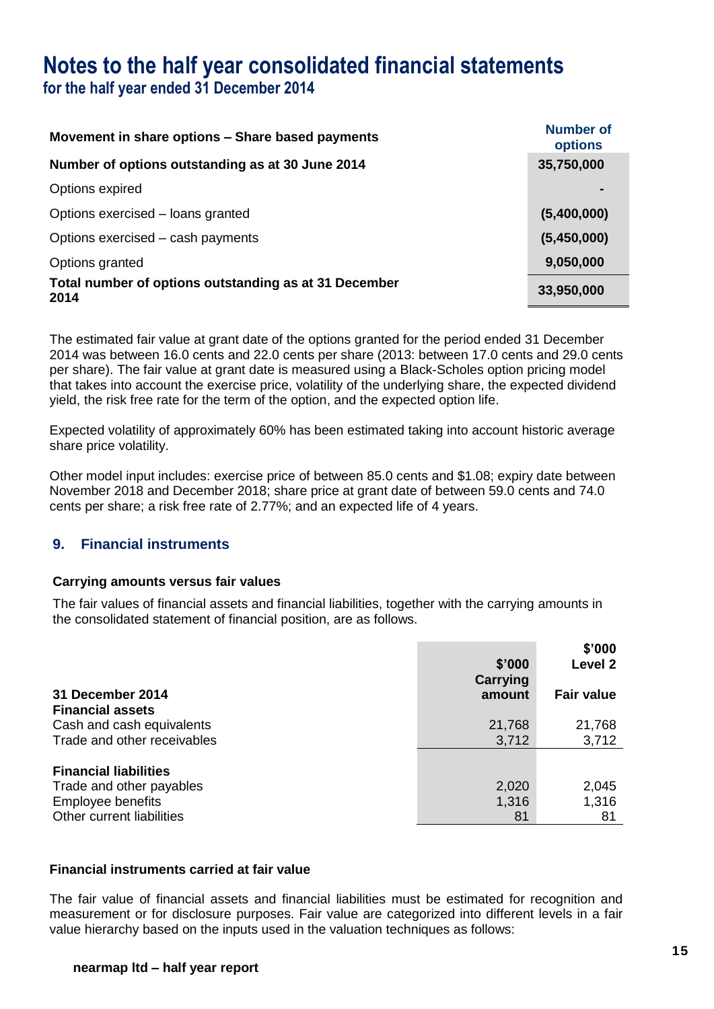**for the half year ended 31 December 2014**

| Movement in share options – Share based payments              | <b>Number of</b><br>options |
|---------------------------------------------------------------|-----------------------------|
| Number of options outstanding as at 30 June 2014              | 35,750,000                  |
| Options expired                                               |                             |
| Options exercised – loans granted                             | (5,400,000)                 |
| Options exercised – cash payments                             | (5,450,000)                 |
| Options granted                                               | 9,050,000                   |
| Total number of options outstanding as at 31 December<br>2014 | 33,950,000                  |

The estimated fair value at grant date of the options granted for the period ended 31 December 2014 was between 16.0 cents and 22.0 cents per share (2013: between 17.0 cents and 29.0 cents per share). The fair value at grant date is measured using a Black-Scholes option pricing model that takes into account the exercise price, volatility of the underlying share, the expected dividend yield, the risk free rate for the term of the option, and the expected option life.

Expected volatility of approximately 60% has been estimated taking into account historic average share price volatility.

Other model input includes: exercise price of between 85.0 cents and \$1.08; expiry date between November 2018 and December 2018; share price at grant date of between 59.0 cents and 74.0 cents per share; a risk free rate of 2.77%; and an expected life of 4 years.

### **9. Financial instruments**

### **Carrying amounts versus fair values**

The fair values of financial assets and financial liabilities, together with the carrying amounts in the consolidated statement of financial position, are as follows.

|                              | \$'000<br>Carrying | \$'000<br>Level <sub>2</sub> |
|------------------------------|--------------------|------------------------------|
| 31 December 2014             | amount             | <b>Fair value</b>            |
| <b>Financial assets</b>      |                    |                              |
| Cash and cash equivalents    | 21,768             | 21,768                       |
| Trade and other receivables  | 3,712              | 3,712                        |
| <b>Financial liabilities</b> |                    |                              |
| Trade and other payables     | 2,020              | 2,045                        |
| Employee benefits            | 1,316              | 1,316                        |
| Other current liabilities    | 81                 | 81                           |

### **Financial instruments carried at fair value**

The fair value of financial assets and financial liabilities must be estimated for recognition and measurement or for disclosure purposes. Fair value are categorized into different levels in a fair value hierarchy based on the inputs used in the valuation techniques as follows: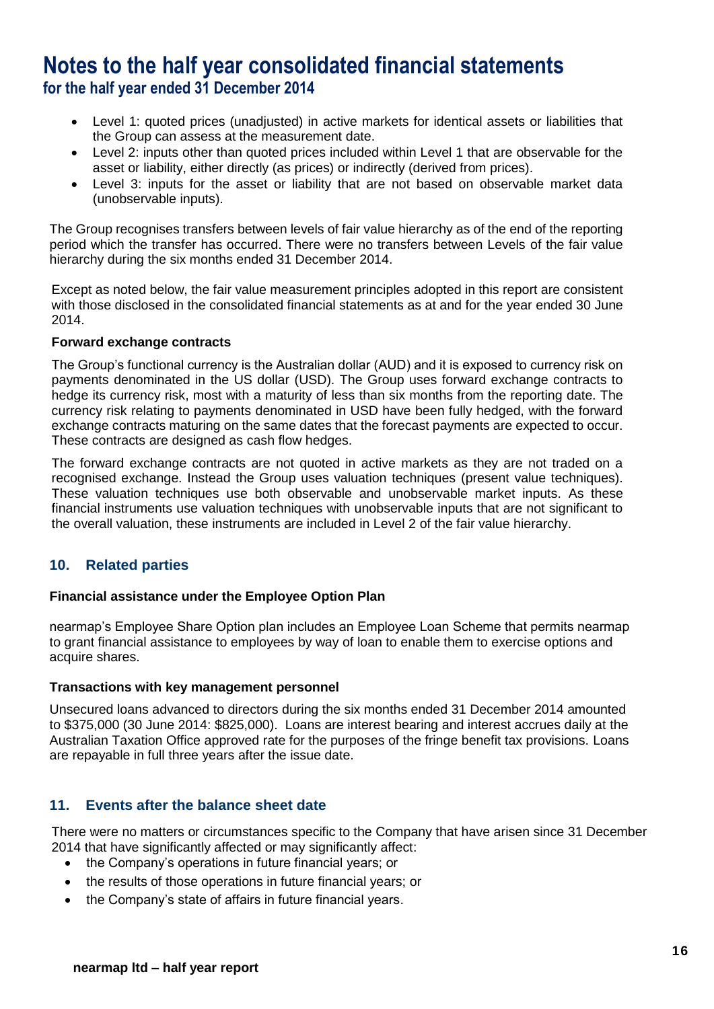### **Notes to the half year consolidated financial statements for the half year ended 31 December 2014**

- Level 1: quoted prices (unadjusted) in active markets for identical assets or liabilities that the Group can assess at the measurement date.
- Level 2: inputs other than quoted prices included within Level 1 that are observable for the asset or liability, either directly (as prices) or indirectly (derived from prices).
- Level 3: inputs for the asset or liability that are not based on observable market data (unobservable inputs).

The Group recognises transfers between levels of fair value hierarchy as of the end of the reporting period which the transfer has occurred. There were no transfers between Levels of the fair value hierarchy during the six months ended 31 December 2014.

Except as noted below, the fair value measurement principles adopted in this report are consistent with those disclosed in the consolidated financial statements as at and for the year ended 30 June 2014.

### **Forward exchange contracts**

The Group's functional currency is the Australian dollar (AUD) and it is exposed to currency risk on payments denominated in the US dollar (USD). The Group uses forward exchange contracts to hedge its currency risk, most with a maturity of less than six months from the reporting date. The currency risk relating to payments denominated in USD have been fully hedged, with the forward exchange contracts maturing on the same dates that the forecast payments are expected to occur. These contracts are designed as cash flow hedges.

The forward exchange contracts are not quoted in active markets as they are not traded on a recognised exchange. Instead the Group uses valuation techniques (present value techniques). These valuation techniques use both observable and unobservable market inputs. As these financial instruments use valuation techniques with unobservable inputs that are not significant to the overall valuation, these instruments are included in Level 2 of the fair value hierarchy.

### **10. Related parties**

### **Financial assistance under the Employee Option Plan**

nearmap's Employee Share Option plan includes an Employee Loan Scheme that permits nearmap to grant financial assistance to employees by way of loan to enable them to exercise options and acquire shares.

### **Transactions with key management personnel**

Unsecured loans advanced to directors during the six months ended 31 December 2014 amounted to \$375,000 (30 June 2014: \$825,000). Loans are interest bearing and interest accrues daily at the Australian Taxation Office approved rate for the purposes of the fringe benefit tax provisions. Loans are repayable in full three years after the issue date.

### **11. Events after the balance sheet date**

There were no matters or circumstances specific to the Company that have arisen since 31 December 2014 that have significantly affected or may significantly affect:

- the Company's operations in future financial years; or
- the results of those operations in future financial years; or
- the Company's state of affairs in future financial years.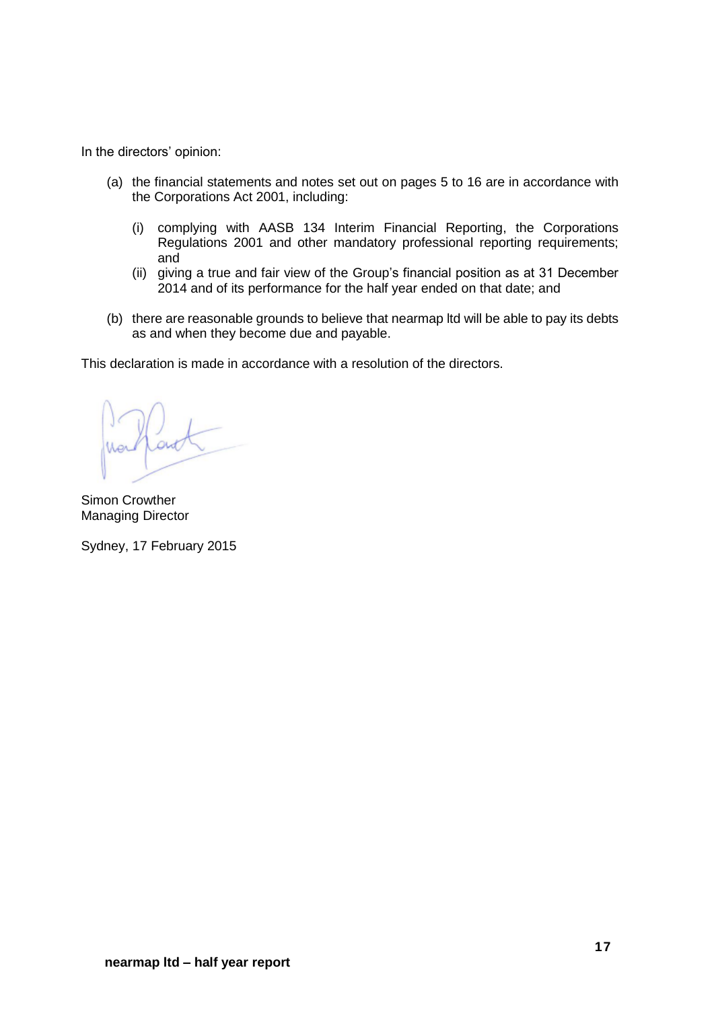In the directors' opinion:

- (a) the financial statements and notes set out on pages 5 to 16 are in accordance with the Corporations Act 2001, including:
	- (i) complying with AASB 134 Interim Financial Reporting, the Corporations Regulations 2001 and other mandatory professional reporting requirements; and
	- (ii) giving a true and fair view of the Group's financial position as at 31 December 2014 and of its performance for the half year ended on that date; and
- (b) there are reasonable grounds to believe that nearmap ltd will be able to pay its debts as and when they become due and payable.

This declaration is made in accordance with a resolution of the directors.

Simon Crowther Managing Director

Sydney, 17 February 2015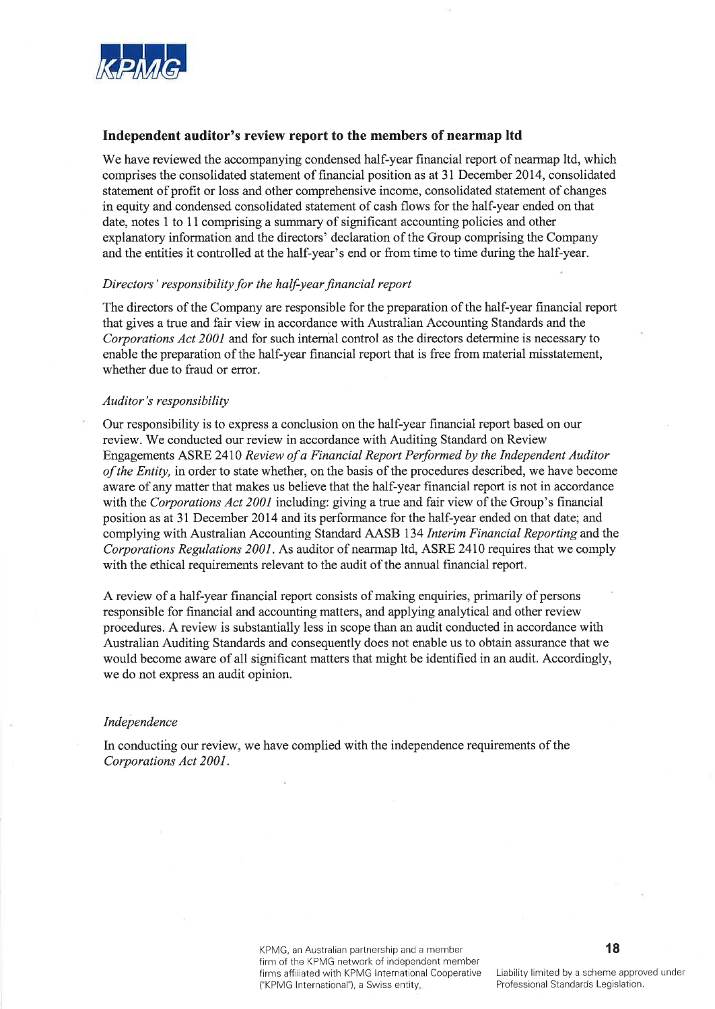

### Independent auditor's review report to the members of nearmap ltd

We have reviewed the accompanying condensed half-year financial report of nearmap ltd, which comprises the consolidated statement of financial position as at 31 December 2014, consolidated statement of profit or loss and other comprehensive income, consolidated statement of changes in equity and condensed consolidated statement of cash flows for the half-year ended on that date, notes 1 to 11 comprising a summary of significant accounting policies and other explanatory information and the directors' declaration of the Group comprising the Company and the entities it controlled at the half-year's end or from time to time during the half-year.

#### Directors' responsibility for the half-year financial report

The directors of the Company are responsible for the preparation of the half-year financial report that gives a true and fair view in accordance with Australian Accounting Standards and the Corporations Act 2001 and for such internal control as the directors determine is necessary to enable the preparation of the half-year financial report that is free from material misstatement, whether due to fraud or error.

#### Auditor's responsibility

Our responsibility is to express a conclusion on the half-year financial report based on our review. We conducted our review in accordance with Auditing Standard on Review Engagements ASRE 2410 Review of a Financial Report Performed by the Independent Auditor of the Entity, in order to state whether, on the basis of the procedures described, we have become aware of any matter that makes us believe that the half-year financial report is not in accordance with the Corporations Act 2001 including: giving a true and fair view of the Group's financial position as at 31 December 2014 and its performance for the half-year ended on that date; and complying with Australian Accounting Standard AASB 134 Interim Financial Reporting and the Corporations Regulations 2001. As auditor of nearmap ltd, ASRE 2410 requires that we comply with the ethical requirements relevant to the audit of the annual financial report.

A review of a half-year financial report consists of making enquiries, primarily of persons responsible for financial and accounting matters, and applying analytical and other review procedures. A review is substantially less in scope than an audit conducted in accordance with Australian Auditing Standards and consequently does not enable us to obtain assurance that we would become aware of all significant matters that might be identified in an audit. Accordingly, we do not express an audit opinion.

#### Independence

In conducting our review, we have complied with the independence requirements of the Corporations Act 2001.

> KPMG, an Australian partnership and a member firm of the KPMG network of independent member firms affiliated with KPMG International Cooperative ("KPMG International"), a Swiss entity.

18